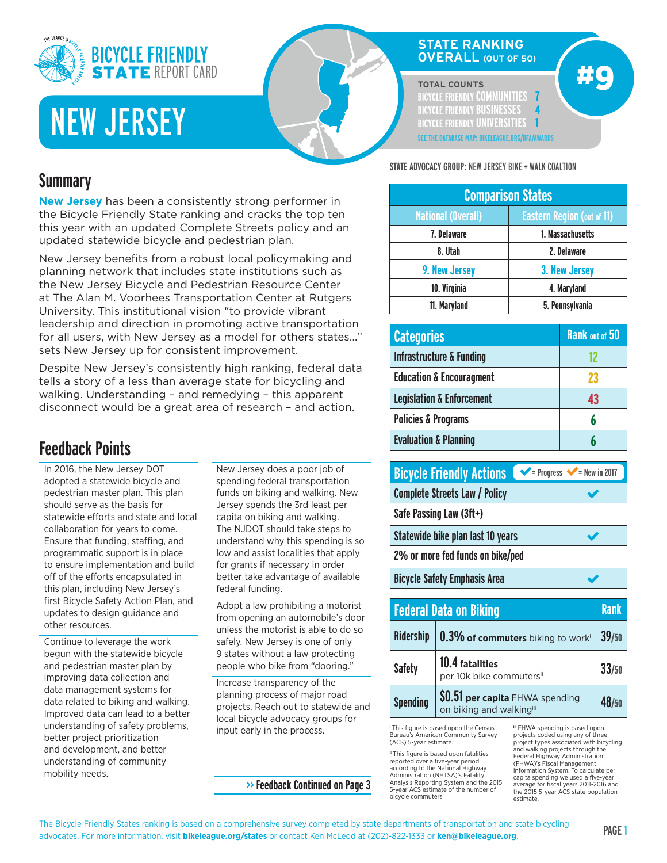

# NEW JERSEY

## **STATE RANKING OVERALL (OUT OF 50)**

**TOTAL COUNTS**

**BICYCLE FRIENDLY COMMUNITIES 7 BICYCLE FRIENDLY BUSINESSES 4 BICYCLE FRIENDLY UNIVERSITIES 1 SEE THE DATABASE MAP: BIKELEAGUE.ORG/BFA/AWARDS** #9

# **Summary**

**New Jersey** has been a consistently strong performer in the Bicycle Friendly State ranking and cracks the top ten this year with an updated Complete Streets policy and an updated statewide bicycle and pedestrian plan.

New Jersey benefits from a robust local policymaking and planning network that includes state institutions such as the New Jersey Bicycle and Pedestrian Resource Center at The Alan M. Voorhees Transportation Center at Rutgers University. This institutional vision "to provide vibrant leadership and direction in promoting active transportation for all users, with New Jersey as a model for others states…" sets New Jersey up for consistent improvement.

Despite New Jersey's consistently high ranking, federal data tells a story of a less than average state for bicycling and walking. Understanding – and remedying – this apparent disconnect would be a great area of research – and action.

# **Feedback Points**

In 2016, the New Jersey DOT adopted a statewide bicycle and pedestrian master plan. This plan should serve as the basis for statewide efforts and state and local collaboration for years to come. Ensure that funding, staffing, and programmatic support is in place to ensure implementation and build off of the efforts encapsulated in this plan, including New Jersey's first Bicycle Safety Action Plan, and updates to design guidance and other resources.

Continue to leverage the work begun with the statewide bicycle and pedestrian master plan by improving data collection and data management systems for data related to biking and walking. Improved data can lead to a better understanding of safety problems, better project prioritization and development, and better understanding of community mobility needs.

New Jersey does a poor job of spending federal transportation funds on biking and walking. New Jersey spends the 3rd least per capita on biking and walking. The NJDOT should take steps to understand why this spending is so low and assist localities that apply for grants if necessary in order better take advantage of available federal funding.

Adopt a law prohibiting a motorist from opening an automobile's door unless the motorist is able to do so safely. New Jersey is one of only 9 states without a law protecting people who bike from "dooring."

Increase transparency of the planning process of major road projects. Reach out to statewide and local bicycle advocacy groups for input early in the process.

**>> Feedback Continued on Page 3**

**STATE ADVOCACY GROUP:** NEW JERSEY BIKE + WALK COALTION

| <b>Comparison States</b>  |                                   |  |
|---------------------------|-----------------------------------|--|
| <b>National (Overall)</b> | <b>Eastern Region (out of 11)</b> |  |
| 7. Delaware               | 1. Massachusetts                  |  |
| 8. Utah                   | 2. Delaware                       |  |
| 9. New Jersey             | 3. New Jersey                     |  |
| 10. Virginia              | 4. Maryland                       |  |
| 11. Maryland              | 5. Pennsylvania                   |  |

| <b>Categories</b>                    | <b>Rank out of 50</b> |
|--------------------------------------|-----------------------|
| <b>Infrastructure &amp; Funding</b>  |                       |
| <b>Education &amp; Encouragment</b>  | 23                    |
| <b>Legislation &amp; Enforcement</b> | 43                    |
| <b>Policies &amp; Programs</b>       | h                     |
| <b>Evaluation &amp; Planning</b>     |                       |

| <b>Bicycle Friendly Actions</b>      | $\blacktriangleright$ = Progress $\blacktriangleright$ = New in 2017 |
|--------------------------------------|----------------------------------------------------------------------|
| <b>Complete Streets Law / Policy</b> |                                                                      |
| Safe Passing Law (3ft+)              |                                                                      |
| Statewide bike plan last 10 years    |                                                                      |
| 2% or more fed funds on bike/ped     |                                                                      |
| <b>Bicycle Safety Emphasis Area</b>  |                                                                      |

|                  | <b>Federal Data on Biking</b>                               | <b>Rank</b> |
|------------------|-------------------------------------------------------------|-------------|
| <b>Ridership</b> | 0.3% of commuters biking to worki                           | 39/50       |
| <b>Safety</b>    | 10.4 fatalities<br>per 10k bike commutersii                 | 33/50       |
| <b>Spending</b>  | \$0.51 per capita FHWA spending<br>on biking and walkingiii | 48/50       |

**<sup>i</sup>** This figure is based upon the Census Bureau's American Community Survey (ACS) 5-year estimate.

**ii** This figure is based upon fatalities reported over a five-year period according to the National Highway Administration (NHTSA)'s Fatality Analysis Reporting System and the 2015 5-year ACS estimate of the number of bicycle commuters.

**iii** FHWA spending is based upon projects coded using any of three project types associated with bicycling and walking projects through the Federal Highway Administration (FHWA)'s Fiscal Management Information System. To calculate per capita spending we used a five-ye average for fiscal years 2011-2016 and the 2015 5-year ACS state population estimate.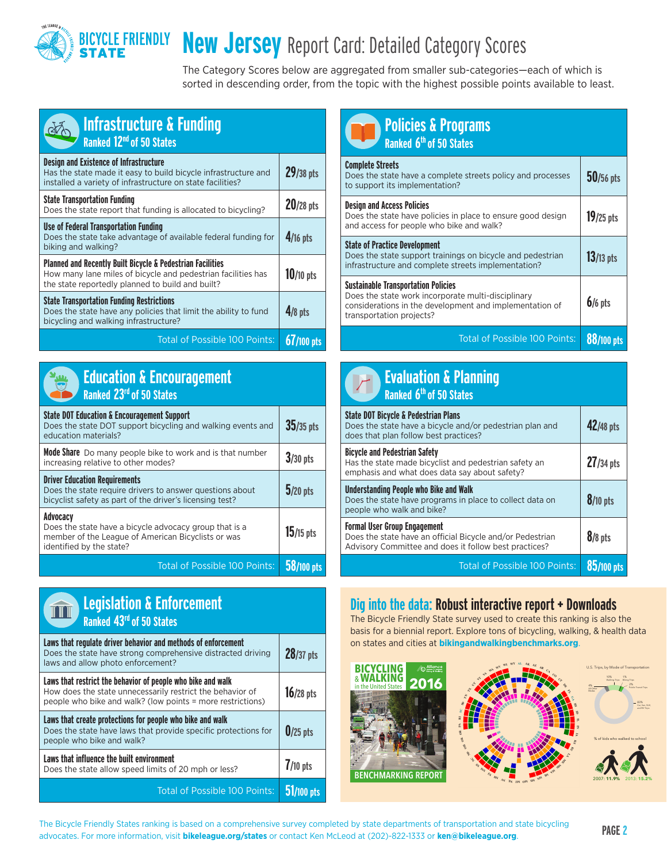### **BICYCLE FRIENDLY**<br>**STATE New Jersey** Report Card: Detailed Category Scores

The Category Scores below are aggregated from smaller sub-categories—each of which is sorted in descending order, from the topic with the highest possible points available to least.

| <b>Infrastructure &amp; Funding</b><br>Ranked 12 <sup>nd</sup> of 50 States                                                                                                               |              |
|-------------------------------------------------------------------------------------------------------------------------------------------------------------------------------------------|--------------|
| <b>Design and Existence of Infrastructure</b><br>Has the state made it easy to build bicycle infrastructure and<br>installed a variety of infrastructure on state facilities?             | 29/38 pts    |
| <b>State Transportation Funding</b><br>Does the state report that funding is allocated to bicycling?                                                                                      | 20/28 pts    |
| <b>Use of Federal Transportation Funding</b><br>Does the state take advantage of available federal funding for<br>biking and walking?                                                     | $4/16$ pts   |
| <b>Planned and Recently Built Bicycle &amp; Pedestrian Facilities</b><br>How many lane miles of bicycle and pedestrian facilities has<br>the state reportedly planned to build and built? | $10/10$ pts  |
| <b>State Transportation Funding Restrictions</b><br>Does the state have any policies that limit the ability to fund<br>bicycling and walking infrastructure?                              | $4/8$ pts    |
| <b>Total of Possible 100 Points:</b>                                                                                                                                                      | $67/100$ pts |



|                                      | <b>Education &amp; Encouragement</b> |
|--------------------------------------|--------------------------------------|
| Ranked 23 <sup>rd</sup> of 50 States |                                      |

| <b>State DOT Education &amp; Encouragement Support</b><br>Does the state DOT support bicycling and walking events and<br>education materials?                | $35/35$ pts |
|--------------------------------------------------------------------------------------------------------------------------------------------------------------|-------------|
| <b>Mode Share</b> Do many people bike to work and is that number<br>increasing relative to other modes?                                                      | $3/30$ pts  |
| <b>Driver Education Requirements</b><br>Does the state require drivers to answer questions about<br>bicyclist safety as part of the driver's licensing test? | $5/20$ pts  |
| Advocacv<br>Does the state have a bicycle advocacy group that is a<br>member of the League of American Bicyclists or was<br>identified by the state?         | $15/15$ pts |
| Total of Possible 100 Points:                                                                                                                                |             |



| <b>Policies &amp; Programs</b><br>Ranked 6 <sup>th</sup> of 50 States                                                                                                                   |             |
|-----------------------------------------------------------------------------------------------------------------------------------------------------------------------------------------|-------------|
| <b>Complete Streets</b><br>Does the state have a complete streets policy and processes<br>to support its implementation?                                                                | $50/56$ pts |
| <b>Design and Access Policies</b><br>Does the state have policies in place to ensure good design<br>and access for people who bike and walk?                                            | $19/25$ pts |
| <b>State of Practice Development</b><br>Does the state support trainings on bicycle and pedestrian<br>infrastructure and complete streets implementation?                               | $13/13$ pts |
| <b>Sustainable Transportation Policies</b><br>Does the state work incorporate multi-disciplinary<br>considerations in the development and implementation of<br>transportation projects? | $6/6$ pts   |
| <b>Total of Possible 100 Points:</b>                                                                                                                                                    | 88/100 pts  |

| <b>Evaluation &amp; Planning</b><br>Ranked 6 <sup>th</sup> of 50 States                                                                                   |             |
|-----------------------------------------------------------------------------------------------------------------------------------------------------------|-------------|
| <b>State DOT Bicycle &amp; Pedestrian Plans</b><br>Does the state have a bicycle and/or pedestrian plan and<br>does that plan follow best practices?      | 42/48 pts   |
| <b>Bicycle and Pedestrian Safety</b><br>Has the state made bicyclist and pedestrian safety an<br>emphasis and what does data say about safety?            | $27/34$ pts |
| Understanding People who Bike and Walk<br>Does the state have programs in place to collect data on<br>people who walk and bike?                           | $8/10$ pts  |
| <b>Formal User Group Engagement</b><br>Does the state have an official Bicycle and/or Pedestrian<br>Advisory Committee and does it follow best practices? | $8/8$ pts   |
| Total of Possible 100 Points:                                                                                                                             | /100 pts    |

## Dig into the data: Robust interactive report + Downloads

The Bicycle Friendly State survey used to create this ranking is also the basis for a biennial report. Explore tons of bicycling, walking, & health data on states and cities at **bikingandwalkingbenchmarks.org**.





**AL**

**AK**

**WY**



U.S. Trips, by Mode of Transportation 10% 1% 2% 83%

Walking Trips Biking Trips Public Transit Trips Car, Van, SUV, and RV Trips

4%

All Other

**The Bicycle Friendly States ranking is based on a comprehensive survey completed by state departments of transportation and state bicycling PAGE 2<br>
a discrete Frances information with biladeanse and states as sorted less** advocates. For more information, visit **bikeleague.org/states** or contact Ken McLeod at (202)-822-1333 or **ken@bikeleague.org**.